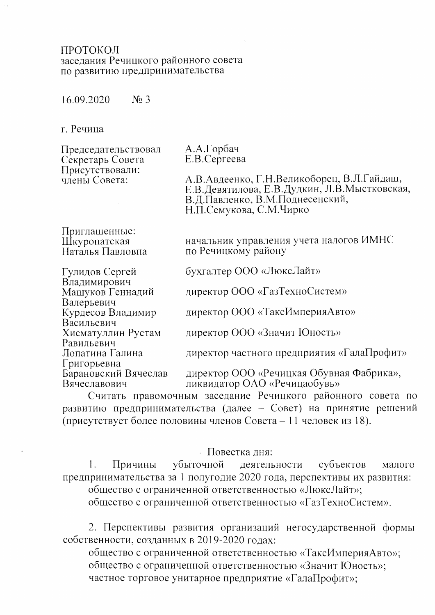#### ПРОТОКОЛ заселания Речицкого районного совета по развитию предпринимательства

 $N<sub>2</sub>$  3 16.09.2020

г. Речица

Председательствовал Секретарь Совета Присутствовали: члены Совета:

А.А.Горбач E.B. Сергеева

А.В.Авдеенко, Г.Н.Великоборец, В.Л.Гайдаш, Е.В.Девятилова, Е.В.Дудкин, Л.В.Мыстковская, В.Д.Павленко, В.М.Поднесенский, Н.П.Семукова, С.М.Чирко

Приглашенные: Шкуропатская Наталья Павловна

Машуков Геннадий

Курдесов Владимир

Хисматуллин Рустам

Барановский Вячеслав

Лопатина Галина

Гулидов Сергей Владимирович

Валерьевич

Васильевич

Равильевич

Григорьевна

Вячеславович

начальник управления учета налогов ИМНС по Речицкому району

бухгалтер ООО «ЛюксЛайт»

директор ООО «ГазТехноСистем»

директор ООО «ТаксИмперияАвто»

директор ООО «Значит Юность»

директор частного предприятия «ГалаПрофит»

директор ООО «Речицкая Обувная Фабрика», ликвидатор ОАО «Речицаобувь»

Считать правомочным заседание Речицкого районного совета по развитию предпринимательства (далее - Совет) на принятие решений (присутствует более половины членов Совета - 11 человек из 18).

### - Повестка дня:

убыточной 1. субъектов Причины деятельности малого предпринимательства за 1 полугодие 2020 года, перспективы их развития: общество с ограниченной ответственностью «ЛюксЛайт»;

общество с ограниченной ответственностью «ГазТехноСистем».

2. Перспективы развития организаций негосударственной формы собственности, созданных в 2019-2020 годах:

общество с ограниченной ответственностью «ТаксИмперияАвто»; общество с ограниченной ответственностью «Значит Юность»; частное торговое унитарное предприятие «ГалаПрофит»;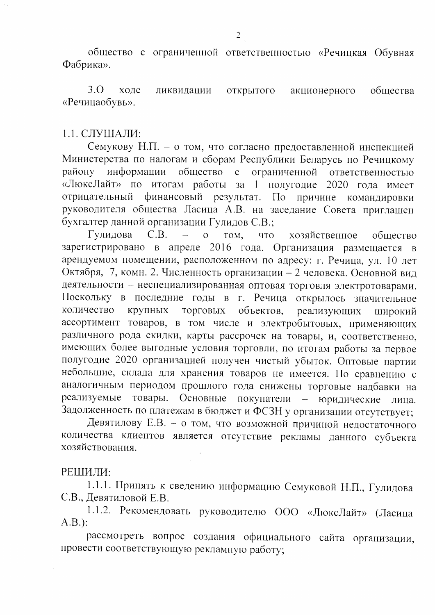общество с ограниченной ответственностью «Речицкая Обувная Фабрика».

 $3.0$ ходе ликвидации открытого акционерного общества «Речицаобувь».

### $1.1.$  СЛУШАЛИ:

Семукову Н.П. - о том, что согласно предоставленной инспекцией Министерства по налогам и сборам Республики Беларусь по Речицкому району информации общество с ограниченной ответственностью «ЛюксЛайт» по итогам работы за 1 полугодие 2020 года имеет отрицательный финансовый результат. По причине командировки руководителя общества Ласица А.В. на заседание Совета приглашен бухгалтер данной организации Гулидов С.В.;

Гулидова  $C.B.$  $\overline{O}$ TOM, что хозяйственное общество зарегистрировано в апреле 2016 года. Организация размещается в арендуемом помещении, расположенном по адресу: г. Речица, ул. 10 лет Октября, 7, комн. 2. Численность организации - 2 человека. Основной вид деятельности - неспециализированная оптовая торговля электротоварами. Поскольку в последние годы в г. Речица открылось значительное объектов, реализующих количество крупных ТОРГОВЫХ широкий ассортимент товаров, в том числе и электробытовых, применяющих различного рода скидки, карты рассрочек на товары, и, соответственно, имеющих более выгодные условия торговли, по итогам работы за первое полугодие 2020 организацией получен чистый убыток. Оптовые партии небольшие, склада для хранения товаров не имеется. По сравнению с аналогичным периодом прошлого года снижены торговые надбавки на Основные реализуемые товары. покупатели - юридические лина. Задолженность по платежам в бюджет и ФСЗН у организации отсутствует;

Девятилову Е.В. - о том, что возможной причиной недостаточного количества клиентов является отсутствие рекламы данного субъекта хозяйствования.

#### РЕШИЛИ:

1.1.1. Принять к сведению информацию Семуковой Н.П., Гулидова С.В., Девятиловой Е.В.

1.1.2. Рекомендовать руководителю ООО «ЛюксЛайт» (Ласица  $A.B.$ :

рассмотреть вопрос создания официального сайта организации, провести соответствующую рекламную работу;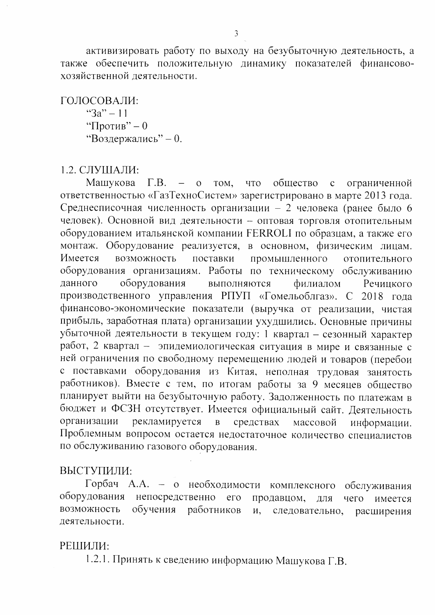активизировать работу по выходу на безубыточную деятельность, а также обеспечить положительную динамику показателей финансовохозяйственной деятельности.

ГОЛОСОВАЛИ: " $3a" - 11$ "Против" – 0 "Воздержались" - 0.

1.2. СЛУШАЛИ:

Машукова  $\Gamma.B. - 0$ что обшество TOM.  $\overline{c}$ ограниченной ответственностью «ГазТехноСистем» зарегистрировано в марте 2013 года. Среднесписочная численность организации - 2 человека (ранее было 6 человек). Основной вид деятельности - оптовая торговля отопительным оборудованием итальянской компании FERROLI по образцам, а также его монтаж. Оборудование реализуется, в основном, физическим лицам. Имеется возможность поставки промышленного отопительного оборудования организациям. Работы по техническому обслуживанию данного оборудования выполняются филиалом Речицкого производственного управления РПУП «Гомельоблгаз». С 2018 года финансово-экономические показатели (выручка от реализации, чистая прибыль, заработная плата) организации ухудшились. Основные причины убыточной деятельности в текущем году: 1 квартал - сезонный характер работ, 2 квартал - эпидемиологическая ситуация в мире и связанные с ней ограничения по свободному перемещению людей и товаров (перебои с поставками оборудования из Китая, неполная трудовая занятость работников). Вместе с тем, по итогам работы за 9 месяцев общество планирует выйти на безубыточную работу. Задолженность по платежам в бюджет и ФСЗН отсутствует. Имеется официальный сайт. Деятельность организации рекламируется  $\overline{B}$ средствах массовой информации. Проблемным вопросом остается недостаточное количество специалистов по обслуживанию газового оборудования.

# ВЫСТУПИЛИ:

Горбач А.А. - о необходимости комплексного обслуживания непосредственно его оборудования продавцом, чего ДЛЯ имеется возможность обучения работников И, следовательно, расширения деятельности.

### РЕШИЛИ:

1.2.1. Принять к сведению информацию Машукова Г.В.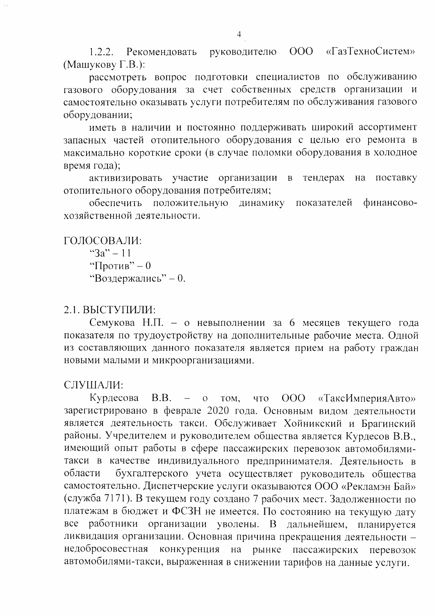руководителю «ГазТехноСистем»  $OOO$ 1.2.2. Рекомендовать (Машукову Г.В.):

рассмотреть вопрос подготовки специалистов по обслуживанию газового оборудования за счет собственных средств организации и самостоятельно оказывать услуги потребителям по обслуживания газового оборудовании;

иметь в наличии и постоянно поддерживать широкий ассортимент запасных частей отопительного оборудования с целью его ремонта в максимально короткие сроки (в случае поломки оборудования в холодное время года);

организации активизировать участие тендерах поставку  $\, {\bf B} \,$ на отопительного оборудования потребителям;

обеспечить положительную динамику показателей финансовохозяйственной леятельности.

ГОЛОСОВАЛИ: " $3a" - 11$ "Против" – 0 "Воздержались" - 0.

# 2.1. ВЫСТУПИЛИ:

Семукова Н.П. - о невыполнении за 6 месяцев текущего года показателя по трудоустройству на дополнительные рабочие места. Одной из составляющих данного показателя является прием на работу граждан новыми малыми и микроорганизациями.

# СЛУШАЛИ:

Курдесова  $B.B.$ TOM, что  $000$ «ТаксИмперияАвто»  $\overline{O}$ зарегистрировано в феврале 2020 года. Основным видом деятельности является деятельность такси. Обслуживает Хойникский и Брагинский районы. Учредителем и руководителем общества является Курдесов В.В., имеющий опыт работы в сфере пассажирских перевозок автомобилямитакси в качестве индивидуального предпринимателя. Деятельность в бухгалтерского учета осуществляет руководитель общества области самостоятельно. Диспетчерские услуги оказываются ООО «Рекламэн Бай» (служба 7171). В текущем году создано 7 рабочих мест. Задолженности по платежам в бюджет и ФСЗН не имеется. По состоянию на текущую дату все работники организации уволены. В дальнейшем, планируется ликвидация организации. Основная причина прекращения деятельности конкуренция на рынке пассажирских недобросовестная перевозок автомобилями-такси, выраженная в снижении тарифов на данные услуги.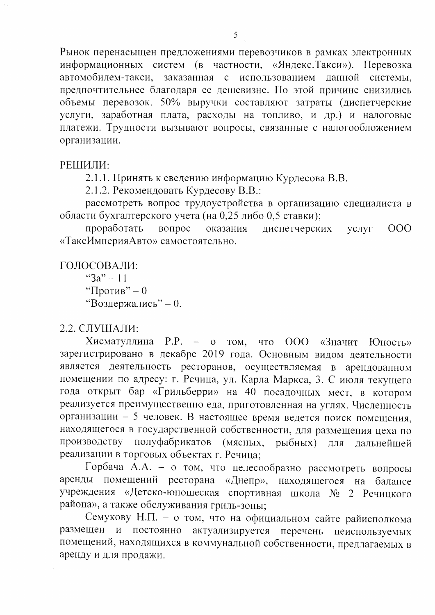Рынок перенасыщен предложениями перевозчиков в рамках электронных информационных систем (в частности, «Яндекс.Такси»). Перевозка заказанная с использованием данной системы, автомобилем-такси, предпочтительнее благодаря ее дешевизне. По этой причине снизились объемы перевозок. 50% выручки составляют затраты (диспетчерские услуги, заработная плата, расходы на топливо, и др.) и налоговые платежи. Трудности вызывают вопросы, связанные с налогообложением организации.

# РЕШИЛИ:

2.1.1. Принять к сведению информацию Курдесова В.В.

2.1.2. Рекомендовать Курдесову В.В.:

рассмотреть вопрос трудоустройства в организацию специалиста в области бухгалтерского учета (на 0,25 либо 0,5 ставки);

проработать вопрос оказания диспетчерских  $V$ СЛУГ  $000$ «ТаксИмперияАвто» самостоятельно.

ГОЛОСОВАЛИ: " $3a" - 11$ "Против" – 0 "Воздержались" - 0.

# 2.2. СЛУШАЛИ:

Хисматуллина Р.Р. - о том, ООО «Значит Юность» что зарегистрировано в декабре 2019 года. Основным видом деятельности является деятельность ресторанов, осуществляемая в арендованном помещении по адресу: г. Речица, ул. Карла Маркса, 3. С июля текущего года открыт бар «Грильберри» на 40 посадочных мест, в котором реализуется преимущественно еда, приготовленная на углях. Численность организации - 5 человек. В настоящее время ведется поиск помещения, находящегося в государственной собственности, для размещения цеха по производству полуфабрикатов (мясных, рыбных) ДЛЯ дальнейшей реализации в торговых объектах г. Речица;

Горбача А.А. - о том, что целесообразно рассмотреть вопросы помещений ресторана «Днепр», находящегося на балансе аренды учреждения «Детско-юношеская спортивная школа № 2 Речицкого района», а также обслуживания гриль-зоны;

Семукову Н.П. - о том, что на официальном сайте райисполкома размещен постоянно актуализируется перечень  $\mathbf{M}$ неиспользуемых помещений, находящихся в коммунальной собственности, предлагаемых в аренду и для продажи.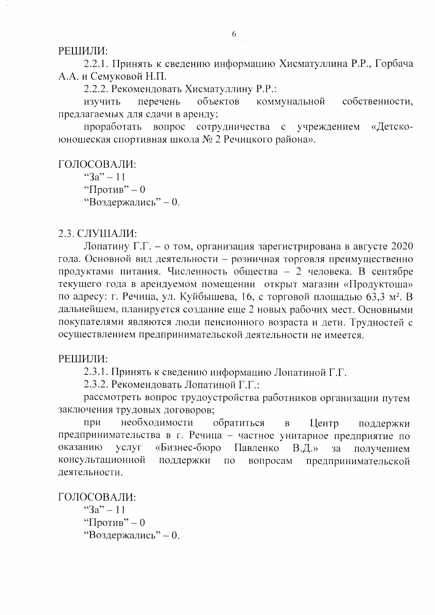РЕШИЛИ:

2.2.1. Принять к сведению информацию Хисматуллина Р.Р., Горбача А.А. и Семуковой Н.П.

2.2.2. Рекомендовать Хисматуллину Р.Р.:

перечень объектов коммунальной собственности, изучить предлагаемых для сдачи в аренду;

проработать вопрос сотрудничества  $\mathbf{c}$ учреждением «Летскоюношеская спортивная школа № 2 Речицкого района».

ГОЛОСОВАЛИ: " $3a" - 11$ "Против" – 0 "Воздержались" - 0.

2.3. СЛУШАЛИ:

Лопатину Г.Г. - о том, организация зарегистрирована в августе 2020 года. Основной вид деятельности - розничная торговля преимущественно продуктами питания. Численность общества - 2 человека. В сентябре текущего года в арендуемом помещении открыт магазин «Продуктоша» по адресу: г. Речица, ул. Куйбышева, 16, с торговой площадью 63,3 м<sup>2</sup>. В дальнейшем, планируется создание еще 2 новых рабочих мест. Основными покупателями являются люди пенсионного возраста и дети. Трудностей с осуществлением предпринимательской деятельности не имеется.

РЕШИЛИ:

2.3.1. Принять к сведению информацию Лопатиной Г.Г.

2.3.2. Рекомендовать Лопатиной Г.Г.:

рассмотреть вопрос трудоустройства работников организации путем заключения трудовых договоров;

необходимости при обратиться  $\overline{B}$ Центр поддержки предпринимательства в г. Речица - частное унитарное предприятие по оказанию услуг «Бизнес-бюро Павленко  $B.I.\rightarrow$ получением  $3a$ консультационной поддержки вопросам ПО предпринимательской деятельности.

ГОЛОСОВАЛИ: " $3a" - 11$ "Против" – 0 "Воздержались" - 0.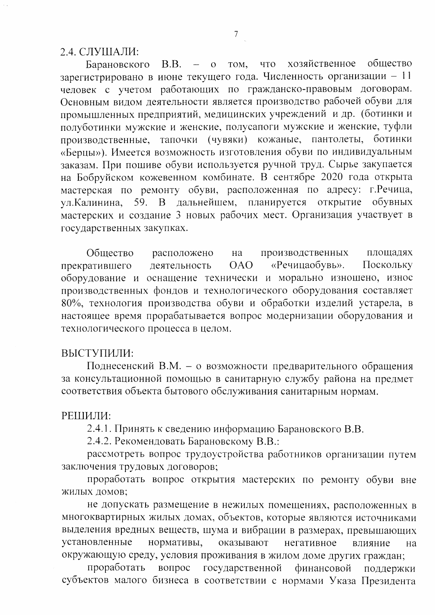2.4. СЛУШАЛИ:

общество B.B. том, что хозяйственное  $- 0$ Барановского зарегистрировано в июне текущего года. Численность организации - 11 человек с учетом работающих по гражданско-правовым договорам. Основным видом деятельности является производство рабочей обуви для промышленных предприятий, медицинских учреждений и др. (ботинки и полуботинки мужские и женские, полусапоги мужские и женские, туфли производственные, тапочки (чувяки) кожаные, пантолеты, ботинки «Берцы»). Имеется возможность изготовления обуви по индивидуальным заказам. При пошиве обуви используется ручной труд. Сырье закупается на Бобруйском кожевенном комбинате. В сентябре 2020 года открыта мастерская по ремонту обуви, расположенная по адресу: г. Речица, В дальнейшем, планируется открытие 59. обувных ул.Калинина, мастерских и создание 3 новых рабочих мест. Организация участвует в государственных закупках.

Общество расположено производственных плошалях на «Речицаобувь». **OAO** Поскольку деятельность прекратившего оборудование и оснащение технически и морально изношено, износ производственных фондов и технологического оборудования составляет 80%, технология производства обуви и обработки изделий устарела, в настоящее время прорабатывается вопрос модернизации оборудования и технологического процесса в целом.

#### ВЫСТУПИЛИ:

Поднесенский В.М. - о возможности предварительного обращения за консультационной помощью в санитарную службу района на предмет соответствия объекта бытового обслуживания санитарным нормам.

#### РЕШИЛИ:

2.4.1. Принять к сведению информацию Барановского В.В.

2.4.2. Рекомендовать Барановскому В.В.:

рассмотреть вопрос трудоустройства работников организации путем заключения трудовых договоров;

проработать вопрос открытия мастерских по ремонту обуви вне ЖИЛЫХ ДОМОВ;

не допускать размещение в нежилых помещениях, расположенных в многоквартирных жилых домах, объектов, которые являются источниками выделения вредных веществ, шума и вибрации в размерах, превышающих установленные нормативы, оказывают негативное влияние на окружающую среду, условия проживания в жилом доме других граждан;

проработать вопрос государственной финансовой поддержки субъектов малого бизнеса в соответствии с нормами Указа Президента